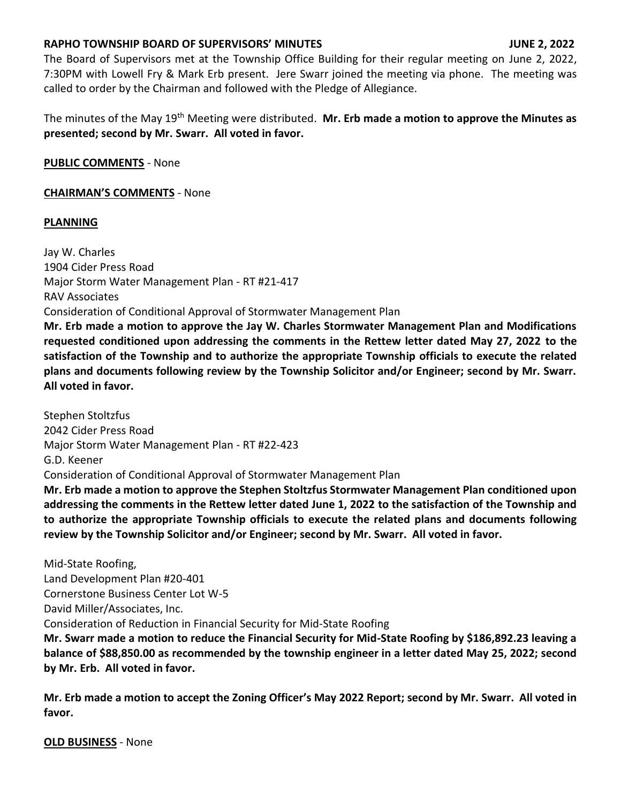## **RAPHO TOWNSHIP BOARD OF SUPERVISORS' MINUTES JUNE 2, 2022**

The Board of Supervisors met at the Township Office Building for their regular meeting on June 2, 2022, 7:30PM with Lowell Fry & Mark Erb present. Jere Swarr joined the meeting via phone. The meeting was called to order by the Chairman and followed with the Pledge of Allegiance.

The minutes of the May 19th Meeting were distributed. **Mr. Erb made a motion to approve the Minutes as presented; second by Mr. Swarr. All voted in favor.**

**PUBLIC COMMENTS** - None

## **CHAIRMAN'S COMMENTS** - None

# **PLANNING**

Jay W. Charles 1904 Cider Press Road Major Storm Water Management Plan - RT #21-417 RAV Associates Consideration of Conditional Approval of Stormwater Management Plan **Mr. Erb made a motion to approve the Jay W. Charles Stormwater Management Plan and Modifications requested conditioned upon addressing the comments in the Rettew letter dated May 27, 2022 to the satisfaction of the Township and to authorize the appropriate Township officials to execute the related plans and documents following review by the Township Solicitor and/or Engineer; second by Mr. Swarr. All voted in favor.** 

Stephen Stoltzfus 2042 Cider Press Road Major Storm Water Management Plan - RT #22-423 G.D. Keener Consideration of Conditional Approval of Stormwater Management Plan **Mr. Erb made a motion to approve the Stephen Stoltzfus Stormwater Management Plan conditioned upon** 

**addressing the comments in the Rettew letter dated June 1, 2022 to the satisfaction of the Township and to authorize the appropriate Township officials to execute the related plans and documents following review by the Township Solicitor and/or Engineer; second by Mr. Swarr. All voted in favor.**

Mid-State Roofing, Land Development Plan #20-401 Cornerstone Business Center Lot W-5 David Miller/Associates, Inc. Consideration of Reduction in Financial Security for Mid-State Roofing **Mr. Swarr made a motion to reduce the Financial Security for Mid-State Roofing by \$186,892.23 leaving a balance of \$88,850.00 as recommended by the township engineer in a letter dated May 25, 2022; second by Mr. Erb. All voted in favor.**

**Mr. Erb made a motion to accept the Zoning Officer's May 2022 Report; second by Mr. Swarr. All voted in favor.**

**OLD BUSINESS** - None